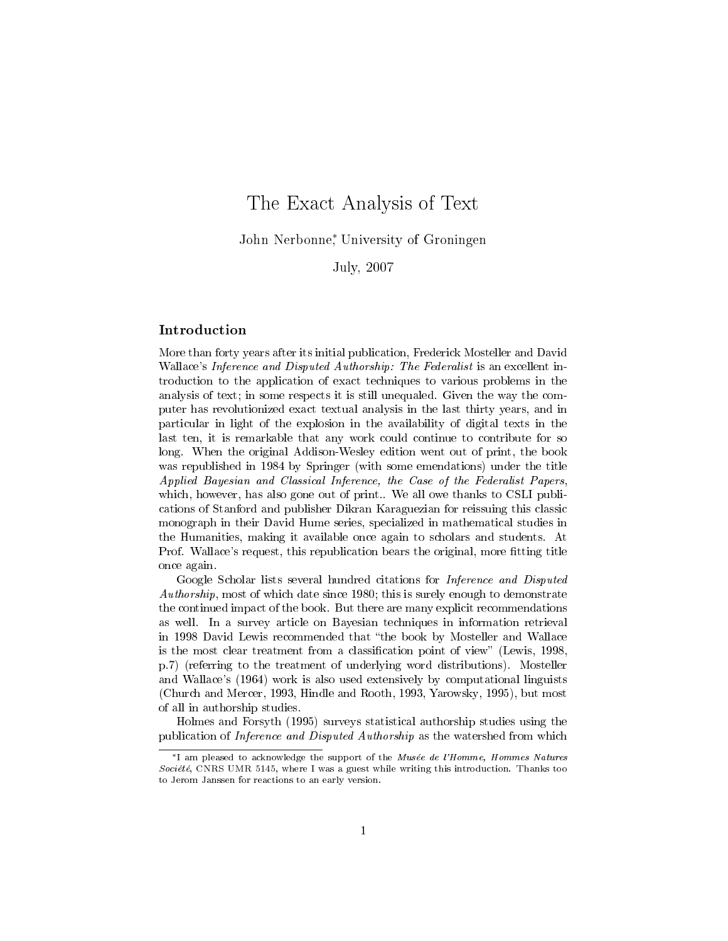# The Exact Analysis of Text

John Nerbonne<sup>∗</sup> , University of Groningen

# July, 2007

# Introduction

More than forty years after its initial publication, Frederick Mosteller and David Wallace's Inference and Disputed Authorship: The Federalist is an excellent introduction to the application of exact techniques to various problems in the analysis of text; in some respects it is still unequaled. Given the way the computer has revolutionized exact textual analysis in the last thirty years, and in particular in light of the explosion in the availability of digital texts in the last ten, it is remarkable that any work could continue to contribute for so long. When the original Addison-Wesley edition went out of print, the book was republished in 1984 by Springer (with some emendations) under the title Applied Bayesian and Classical Inference, the Case of the Federalist Papers, which, however, has also gone out of print.. We all owe thanks to CSLI publications of Stanford and publisher Dikran Karaguezian for reissuing this classic monograph in their David Hume series, specialized in mathematical studies in the Humanities, making it available once again to scholars and students. At Prof. Wallace's request, this republication bears the original, more fitting title once again.

Google Scholar lists several hundred citations for Inference and Disputed Authorship, most of which date since 1980; this is surely enough to demonstrate the continued impact of the book. But there are many explicit recommendations as well. In a survey article on Bayesian techniques in information retrieval in 1998 David Lewis recommended that "the book by Mosteller and Wallace is the most clear treatment from a classification point of view" (Lewis, 1998, p.7) (referring to the treatment of underlying word distributions). Mosteller and Wallace's (1964) work is also used extensively by computational linguists (Church and Mercer, 1993, Hindle and Rooth, 1993, Yarowsky, 1995), but most of all in authorship studies.

Holmes and Forsyth (1995) surveys statistical authorship studies using the publication of Inference and Disputed Authorship as the watershed from which

<sup>∗</sup>I am pleased to acknowledge the support of the Musée de l'Homme, Hommes Natures Société, CNRS UMR 5145, where I was a guest while writing this introduction. Thanks too to Jerom Janssen for reactions to an early version.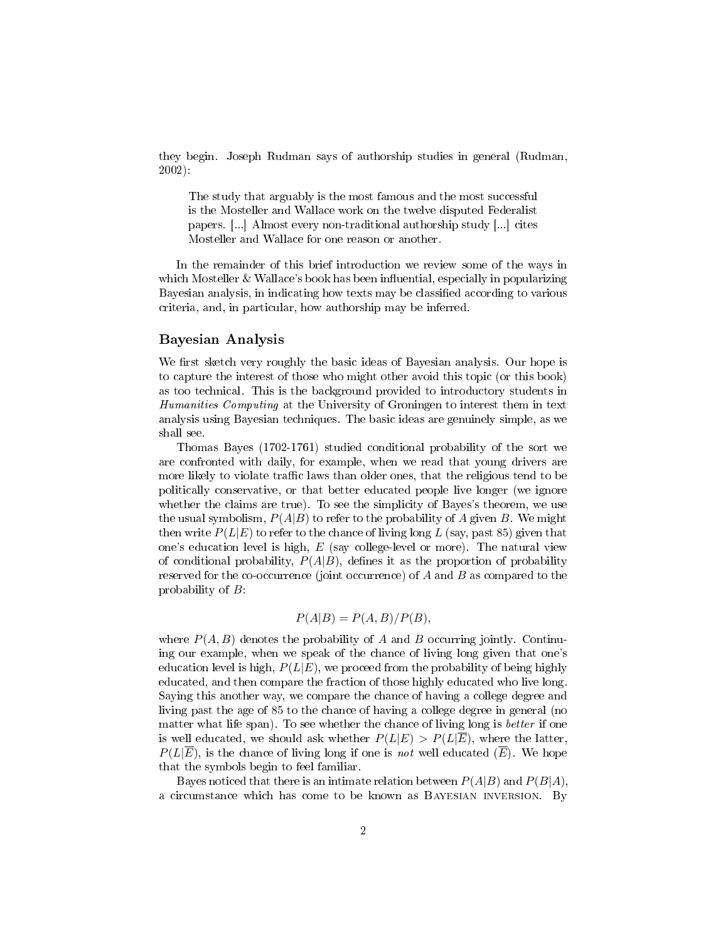they begin. Joseph Rudman says of authorship studies in general (Rudman, 2002):

The study that arguably is the most famous and the most successful is the Mosteller and Wallace work on the twelve disputed Federalist papers. [...] Almost every non-traditional authorship study [...] cites Mosteller and Wallace for one reason or another.

In the remainder of this brief introduction we review some of the ways in which Mosteller & Wallace's book has been influential, especially in popularizing Bayesian analysis, in indicating how texts may be classified according to various criteria, and, in particular, how authorship may be inferred.

## Bayesian Analysis

We first sketch very roughly the basic ideas of Bayesian analysis. Our hope is to capture the interest of those who might other avoid this topic (or this book) as too technical. This is the background provided to introductory students in Humanities Computing at the University of Groningen to interest them in text analysis using Bayesian techniques. The basic ideas are genuinely simple, as we shall see.

Thomas Bayes (1702-1761) studied conditional probability of the sort we are confronted with daily, for example, when we read that young drivers are more likely to violate traffic laws than older ones, that the religious tend to be politically conservative, or that better educated people live longer (we ignore whether the claims are true). To see the simplicity of Bayes's theorem, we use the usual symbolism,  $P(A|B)$  to refer to the probability of A given B. We might then write  $P(L|E)$  to refer to the chance of living long L (say, past 85) given that one's education level is high, E (say college-level or more). The natural view of conditional probability,  $P(A|B)$ , defines it as the proportion of probability reserved for the co-occurrence (joint occurrence) of  $A$  and  $B$  as compared to the probability of B:

## $P(A|B) = P(A, B)/P(B),$

where  $P(A, B)$  denotes the probability of A and B occurring jointly. Continuing our example, when we speak of the chance of living long given that one's education level is high,  $P(L|E)$ , we proceed from the probability of being highly educated, and then compare the fraction of those highly educated who live long. Saying this another way, we compare the chance of having a college degree and living past the age of 85 to the chance of having a college degree in general (no matter what life span). To see whether the chance of living long is better if one is well educated, we should ask whether  $P(L|E) > P(L|E)$ , where the latter,  $P(L|\overline{E})$ , is the chance of living long if one is not well educated  $(\overline{E})$ . We hope that the symbols begin to feel familiar.

Bayes noticed that there is an intimate relation between  $P(A|B)$  and  $P(B|A)$ , a circumstance which has come to be known as Bayesian inversion. By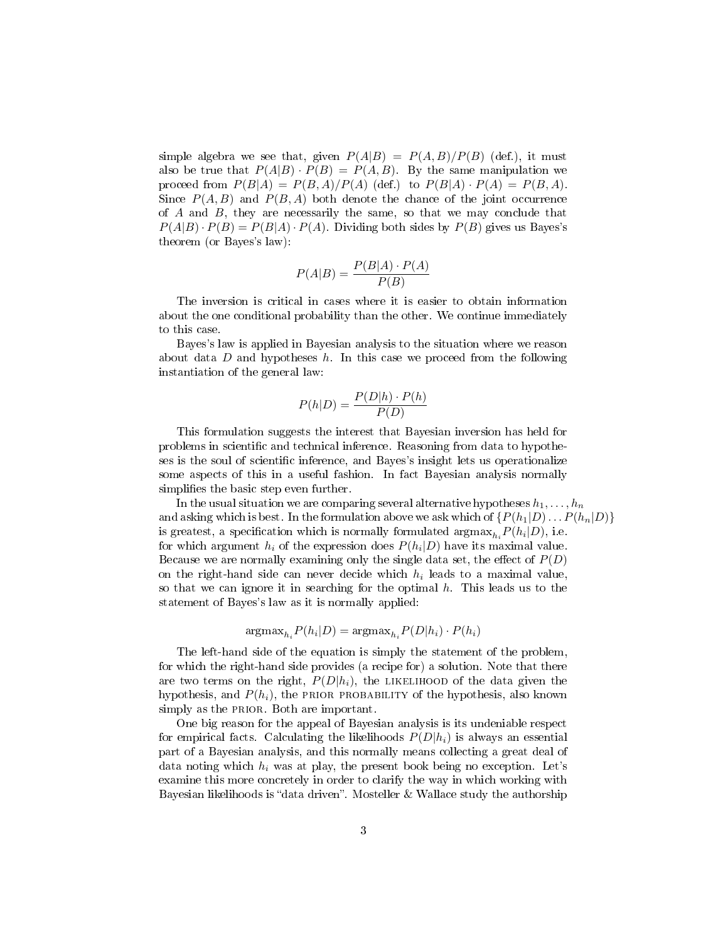simple algebra we see that, given  $P(A|B) = P(A, B)/P(B)$  (def.), it must also be true that  $P(A|B) \cdot P(B) = P(A, B)$ . By the same manipulation we proceed from  $P(B|A) = P(B,A)/P(A)$  (def.) to  $P(B|A) \cdot P(A) = P(B,A)$ . Since  $P(A, B)$  and  $P(B, A)$  both denote the chance of the joint occurrence of  $A$  and  $B$ , they are necessarily the same, so that we may conclude that  $P(A|B) \cdot P(B) = P(B|A) \cdot P(A)$ . Dividing both sides by  $P(B)$  gives us Bayes's theorem (or Bayes's law):

$$
P(A|B) = \frac{P(B|A) \cdot P(A)}{P(B)}
$$

The inversion is critical in cases where it is easier to obtain information about the one conditional probability than the other. We continue immediately to this case.

Bayes's law is applied in Bayesian analysis to the situation where we reason about data  $D$  and hypotheses  $h$ . In this case we proceed from the following instantiation of the general law:

$$
P(h|D) = \frac{P(D|h) \cdot P(h)}{P(D)}
$$

This formulation suggests the interest that Bayesian inversion has held for problems in scientic and technical inference. Reasoning from data to hypotheses is the soul of scientic inference, and Bayes's insight lets us operationalize some aspects of this in a useful fashion. In fact Bayesian analysis normally simplifies the basic step even further.

In the usual situation we are comparing several alternative hypotheses  $h_1, \ldots, h_n$ and asking which is best. In the formulation above we ask which of  $\{P(h_1|D)\dots P(h_n|D)\}\$ is greatest, a specification which is normally formulated  $\operatorname{argmax}_{h_i} P(h_i|D)$ , i.e. for which argument  $h_i$  of the expression does  $P(h_i|D)$  have its maximal value. Because we are normally examining only the single data set, the effect of  $P(D)$ on the right-hand side can never decide which  $h_i$  leads to a maximal value, so that we can ignore it in searching for the optimal  $h$ . This leads us to the statement of Bayes's law as it is normally applied:

$$
\mathrm{argmax}_{h_i} P(h_i|D) = \mathrm{argmax}_{h_i} P(D|h_i) \cdot P(h_i)
$$

The left-hand side of the equation is simply the statement of the problem, for which the right-hand side provides (a recipe for) a solution. Note that there are two terms on the right,  $P(D|h_i)$ , the LIKELIHOOD of the data given the hypothesis, and  $P(h_i)$ , the PRIOR PROBABILITY of the hypothesis, also known simply as the PRIOR. Both are important.

One big reason for the appeal of Bayesian analysis is its undeniable respect for empirical facts. Calculating the likelihoods  $P(D|h_i)$  is always an essential part of a Bayesian analysis, and this normally means collecting a great deal of data noting which  $h_i$  was at play, the present book being no exception. Let's examine this more concretely in order to clarify the way in which working with Bayesian likelihoods is "data driven". Mosteller  $&$  Wallace study the authorship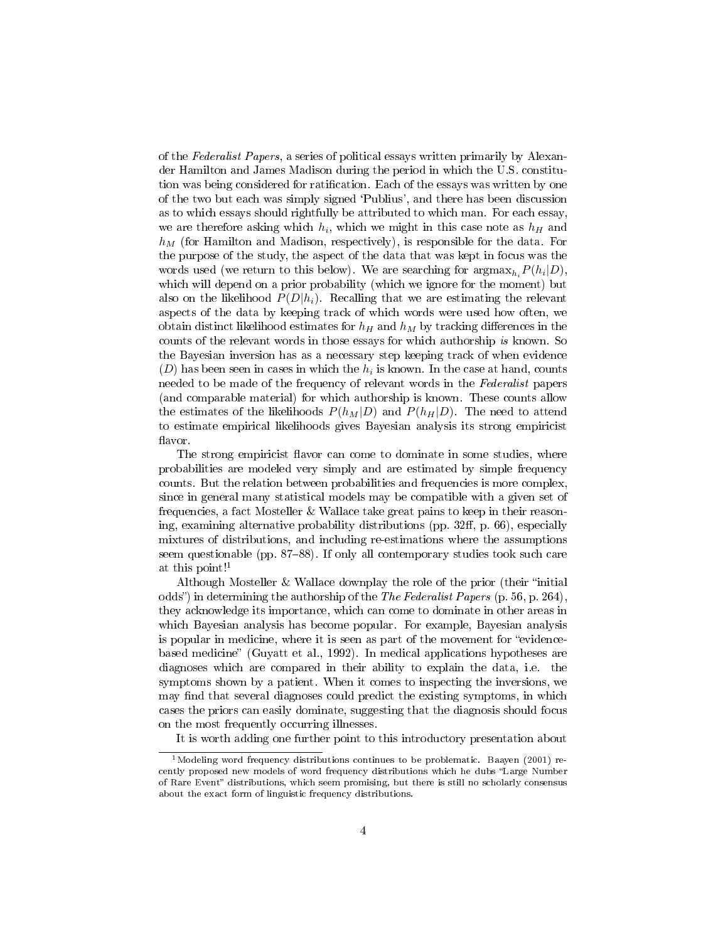of the Federalist Papers, a series of political essays written primarily by Alexander Hamilton and James Madison during the period in which the U.S. constitution was being considered for ratification. Each of the essays was written by one of the two but each was simply signed `Publius', and there has been discussion as to which essays should rightfully be attributed to which man. For each essay, we are therefore asking which  $h_i$ , which we might in this case note as  $h_H$  and  $h_M$  (for Hamilton and Madison, respectively), is responsible for the data. For the purpose of the study, the aspect of the data that was kept in focus was the words used (we return to this below). We are searching for  $\arg\max_{h_i} P(h_i|D)$ , which will depend on a prior probability (which we ignore for the moment) but also on the likelihood  $P(D|h_i)$ . Recalling that we are estimating the relevant aspects of the data by keeping track of which words were used how often, we obtain distinct likelihood estimates for  $h_H$  and  $h_M$  by tracking differences in the counts of the relevant words in those essays for which authorship is known. So the Bayesian inversion has as a necessary step keeping track of when evidence  $(D)$  has been seen in cases in which the  $h_i$  is known. In the case at hand, counts needed to be made of the frequency of relevant words in the Federalist papers (and comparable material) for which authorship is known. These counts allow the estimates of the likelihoods  $P(h_M|D)$  and  $P(h_H|D)$ . The need to attend to estimate empirical likelihoods gives Bayesian analysis its strong empiricist flavor.

The strong empiricist flavor can come to dominate in some studies, where probabilities are modeled very simply and are estimated by simple frequency counts. But the relation between probabilities and frequencies is more complex, since in general many statistical models may be compatible with a given set of frequencies, a fact Mosteller & Wallace take great pains to keep in their reasoning, examining alternative probability distributions (pp.  $32ff$ , p. 66), especially mixtures of distributions, and including re-estimations where the assumptions seem questionable (pp.  $87-88$ ). If only all contemporary studies took such care at this point!<sup>1</sup>

Although Mosteller  $&$  Wallace downplay the role of the prior (their "initial odds") in determining the authorship of the The Federalist Papers (p. 56, p. 264), they acknowledge its importance, which can come to dominate in other areas in which Bayesian analysis has become popular. For example, Bayesian analysis is popular in medicine, where it is seen as part of the movement for "evidencebased medicine" (Guyatt et al., 1992). In medical applications hypotheses are diagnoses which are compared in their ability to explain the data, i.e. the symptoms shown by a patient. When it comes to inspecting the inversions, we may find that several diagnoses could predict the existing symptoms, in which cases the priors can easily dominate, suggesting that the diagnosis should focus on the most frequently occurring illnesses.

It is worth adding one further point to this introductory presentation about

<sup>&</sup>lt;sup>1</sup>Modeling word frequency distributions continues to be problematic. Baayen (2001) recently proposed new models of word frequency distributions which he dubs "Large Number of Rare Event" distributions, which seem promising, but there is still no scholarly consensus about the exact form of linguistic frequency distributions.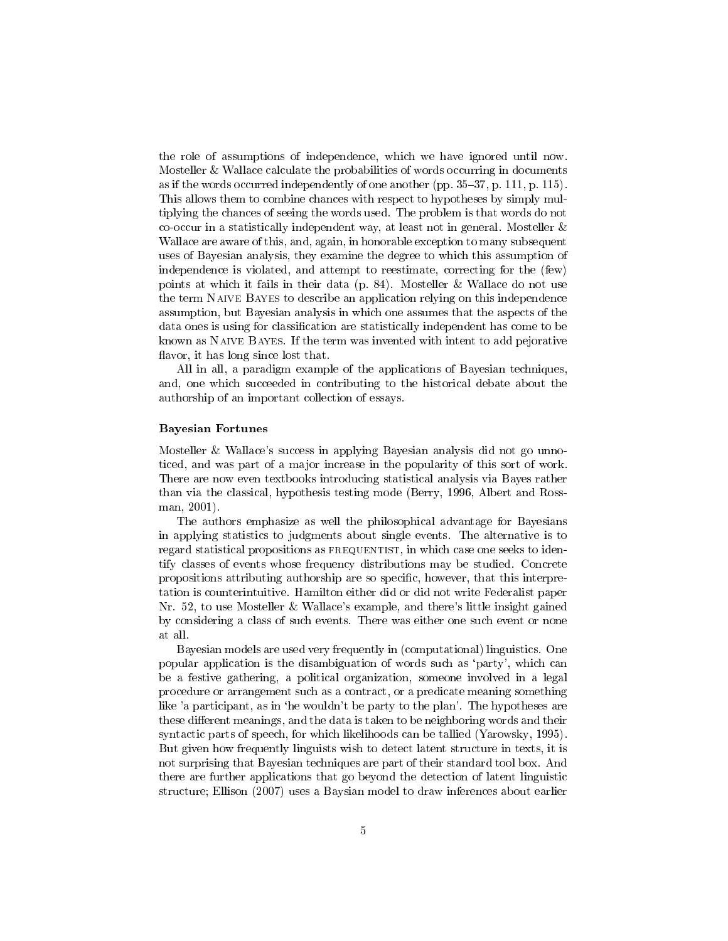the role of assumptions of independence, which we have ignored until now. Mosteller & Wallace calculate the probabilities of words occurring in documents as if the words occurred independently of one another (pp.  $35-37$ , p. 111, p. 115). This allows them to combine chances with respect to hypotheses by simply multiplying the chances of seeing the words used. The problem is that words do not co-occur in a statistically independent way, at least not in general. Mosteller & Wallace are aware of this, and, again, in honorable exception to many subsequent uses of Bayesian analysis, they examine the degree to which this assumption of independence is violated, and attempt to reestimate, correcting for the (few) points at which it fails in their data (p. 84). Mosteller & Wallace do not use the term Naive Bayes to describe an application relying on this independence assumption, but Bayesian analysis in which one assumes that the aspects of the data ones is using for classification are statistically independent has come to be known as Naive Bayes. If the term was invented with intent to add pejorative flavor, it has long since lost that.

All in all, a paradigm example of the applications of Bayesian techniques, and, one which succeeded in contributing to the historical debate about the authorship of an important collection of essays.

#### Bayesian Fortunes

Mosteller & Wallace's success in applying Bayesian analysis did not go unnoticed, and was part of a major increase in the popularity of this sort of work. There are now even textbooks introducing statistical analysis via Bayes rather than via the classical, hypothesis testing mode (Berry, 1996, Albert and Rossman, 2001).

The authors emphasize as well the philosophical advantage for Bayesians in applying statistics to judgments about single events. The alternative is to regard statistical propositions as FREQUENTIST, in which case one seeks to identify classes of events whose frequency distributions may be studied. Concrete propositions attributing authorship are so specific, however, that this interpretation is counterintuitive. Hamilton either did or did not write Federalist paper Nr. 52, to use Mosteller & Wallace's example, and there's little insight gained by considering a class of such events. There was either one such event or none at all.

Bayesian models are used very frequently in (computational) linguistics. One popular application is the disambiguation of words such as `party', which can be a festive gathering, a political organization, someone involved in a legal procedure or arrangement such as a contract, or a predicate meaning something like 'a participant, as in 'he wouldn't be party to the plan'. The hypotheses are these different meanings, and the data is taken to be neighboring words and their syntactic parts of speech, for which likelihoods can be tallied (Yarowsky, 1995). But given how frequently linguists wish to detect latent structure in texts, it is not surprising that Bayesian techniques are part of their standard tool box. And there are further applications that go beyond the detection of latent linguistic structure; Ellison (2007) uses a Baysian model to draw inferences about earlier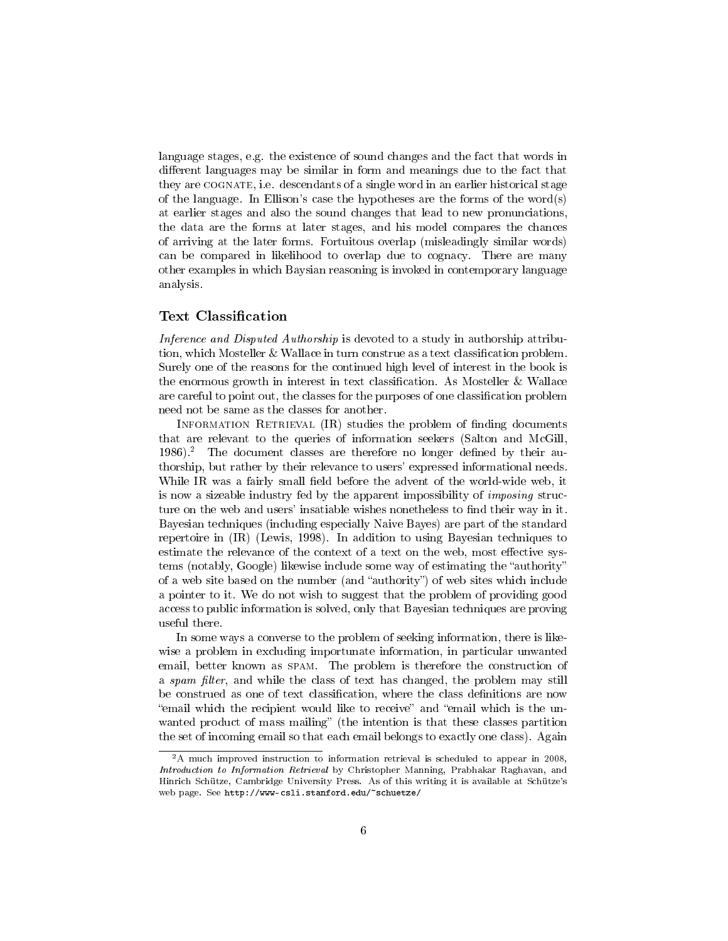language stages, e.g. the existence of sound changes and the fact that words in different languages may be similar in form and meanings due to the fact that they are COGNATE, i.e. descendants of a single word in an earlier historical stage of the language. In Ellison's case the hypotheses are the forms of the word(s) at earlier stages and also the sound changes that lead to new pronunciations, the data are the forms at later stages, and his model compares the chances of arriving at the later forms. Fortuitous overlap (misleadingly similar words) can be compared in likelihood to overlap due to cognacy. There are many other examples in which Baysian reasoning is invoked in contemporary language analysis.

# Text Classification

Inference and Disputed Authorship is devoted to a study in authorship attribution, which Mosteller & Wallace in turn construe as a text classification problem. Surely one of the reasons for the continued high level of interest in the book is the enormous growth in interest in text classification. As Mosteller & Wallace are careful to point out, the classes for the purposes of one classification problem need not be same as the classes for another.

INFORMATION RETRIEVAL  $(IR)$  studies the problem of finding documents that are relevant to the queries of information seekers (Salton and McGill,  $1986$ ).<sup>2</sup> The document classes are therefore no longer defined by their authorship, but rather by their relevance to users' expressed informational needs. While IR was a fairly small field before the advent of the world-wide web, it is now a sizeable industry fed by the apparent impossibility of imposing structure on the web and users' insatiable wishes nonetheless to find their way in it. Bayesian techniques (including especially Naive Bayes) are part of the standard repertoire in (IR) (Lewis, 1998). In addition to using Bayesian techniques to estimate the relevance of the context of a text on the web, most effective systems (notably, Google) likewise include some way of estimating the "authority" of a web site based on the number (and "authority") of web sites which include a pointer to it. We do not wish to suggest that the problem of providing good access to public information is solved, only that Bayesian techniques are proving useful there.

In some ways a converse to the problem of seeking information, there is likewise a problem in excluding importunate information, in particular unwanted email, better known as spam. The problem is therefore the construction of a spam filter, and while the class of text has changed, the problem may still be construed as one of text classification, where the class definitions are now email which the recipient would like to receive" and "email which is the unwanted product of mass mailing" (the intention is that these classes partition the set of incoming email so that each email belongs to exactly one class). Again

<sup>&</sup>lt;sup>2</sup>A much improved instruction to information retrieval is scheduled to appear in 2008, Introduction to Information Retrieval by Christopher Manning, Prabhakar Raghavan, and Hinrich Schütze, Cambridge University Press. As of this writing it is available at Schütze's web page. See http://www-csli.stanford.edu/~schuetze/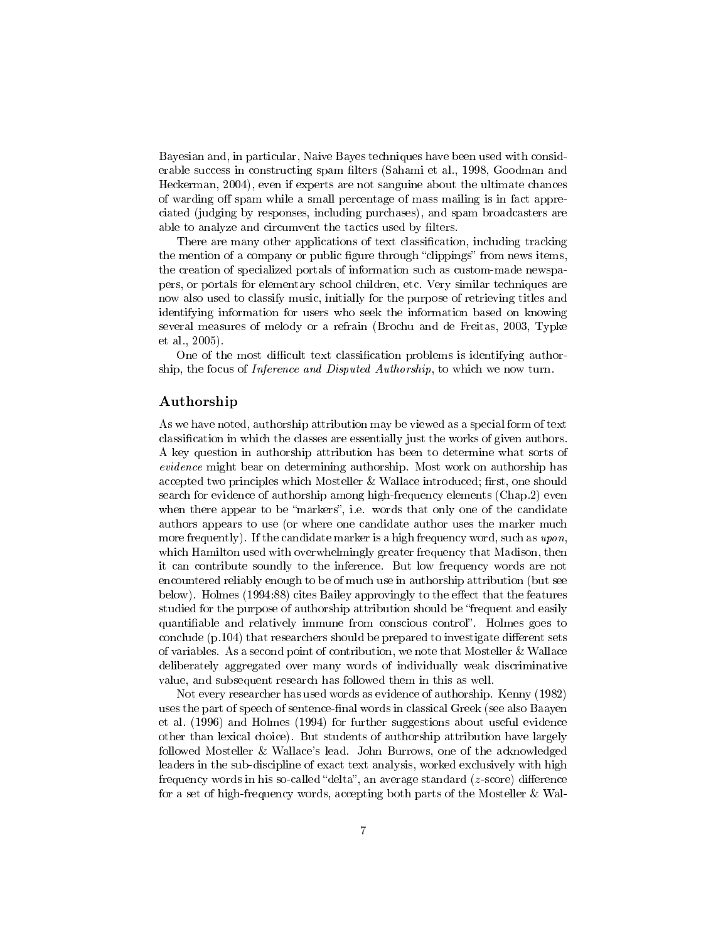Bayesian and, in particular, Naive Bayes techniques have been used with considerable success in constructing spam filters (Sahami et al., 1998, Goodman and Heckerman, 2004), even if experts are not sanguine about the ultimate chances of warding off spam while a small percentage of mass mailing is in fact appreciated (judging by responses, including purchases), and spam broadcasters are able to analyze and circumvent the tactics used by filters.

There are many other applications of text classification, including tracking the mention of a company or public figure through "clippings" from news items, the creation of specialized portals of information such as custom-made newspapers, or portals for elementary school children, etc. Very similar techniques are now also used to classify music, initially for the purpose of retrieving titles and identifying information for users who seek the information based on knowing several measures of melody or a refrain (Brochu and de Freitas, 2003, Typke et al., 2005).

One of the most difficult text classification problems is identifying authorship, the focus of Inference and Disputed Authorship, to which we now turn.

### Authorship

As we have noted, authorship attribution may be viewed as a special form of text classification in which the classes are essentially just the works of given authors. A key question in authorship attribution has been to determine what sorts of evidence might bear on determining authorship. Most work on authorship has accepted two principles which Mosteller  $&$  Wallace introduced; first, one should search for evidence of authorship among high-frequency elements (Chap.2) even when there appear to be "markers", i.e. words that only one of the candidate authors appears to use (or where one candidate author uses the marker much more frequently). If the candidate marker is a high frequency word, such as upon, which Hamilton used with overwhelmingly greater frequency that Madison, then it can contribute soundly to the inference. But low frequency words are not encountered reliably enough to be of much use in authorship attribution (but see below). Holmes (1994:88) cites Bailey approvingly to the effect that the features studied for the purpose of authorship attribution should be "frequent and easily quantifiable and relatively immune from conscious control". Holmes goes to conclude  $(p.104)$  that researchers should be prepared to investigate different sets of variables. As a second point of contribution, we note that Mosteller & Wallace deliberately aggregated over many words of individually weak discriminative value, and subsequent research has followed them in this as well.

Not every researcher has used words as evidence of authorship. Kenny (1982) uses the part of speech of sentence-final words in classical Greek (see also Baayen et al. (1996) and Holmes (1994) for further suggestions about useful evidence other than lexical choice). But students of authorship attribution have largely followed Mosteller & Wallace's lead. John Burrows, one of the acknowledged leaders in the sub-discipline of exact text analysis, worked exclusively with high frequency words in his so-called "delta", an average standard  $(z\text{-score})$  difference for a set of high-frequency words, accepting both parts of the Mosteller & Wal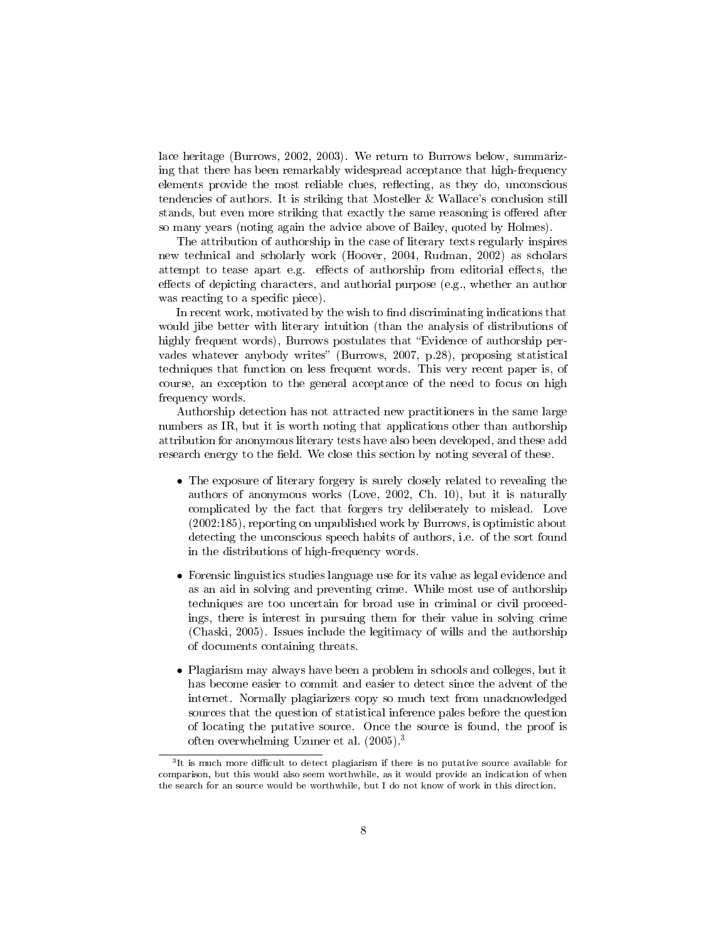lace heritage (Burrows, 2002, 2003). We return to Burrows below, summarizing that there has been remarkably widespread acceptance that high-frequency elements provide the most reliable clues, reflecting, as they do, unconscious tendencies of authors. It is striking that Mosteller & Wallace's conclusion still stands, but even more striking that exactly the same reasoning is offered after so many years (noting again the advice above of Bailey, quoted by Holmes).

The attribution of authorship in the case of literary texts regularly inspires new technical and scholarly work (Hoover, 2004, Rudman, 2002) as scholars attempt to tease apart e.g. effects of authorship from editorial effects, the effects of depicting characters, and authorial purpose (e.g., whether an author was reacting to a specific piece).

In recent work, motivated by the wish to find discriminating indications that would jibe better with literary intuition (than the analysis of distributions of highly frequent words), Burrows postulates that "Evidence of authorship pervades whatever anybody writes" (Burrows, 2007, p.28), proposing statistical techniques that function on less frequent words. This very recent paper is, of course, an exception to the general acceptance of the need to focus on high frequency words.

Authorship detection has not attracted new practitioners in the same large numbers as IR, but it is worth noting that applications other than authorship attribution for anonymous literary tests have also been developed, and these add research energy to the field. We close this section by noting several of these.

- The exposure of literary forgery is surely closely related to revealing the authors of anonymous works (Love, 2002, Ch. 10), but it is naturally complicated by the fact that forgers try deliberately to mislead. Love (2002:185), reporting on unpublished work by Burrows, is optimistic about detecting the unconscious speech habits of authors, i.e. of the sort found in the distributions of high-frequency words.
- Forensic linguistics studies language use for its value as legal evidence and as an aid in solving and preventing crime. While most use of authorship techniques are too uncertain for broad use in criminal or civil proceedings, there is interest in pursuing them for their value in solving crime (Chaski, 2005). Issues include the legitimacy of wills and the authorship of documents containing threats.
- Plagiarism may always have been a problem in schools and colleges, but it has become easier to commit and easier to detect since the advent of the internet. Normally plagiarizers copy so much text from unacknowledged sources that the question of statistical inference pales before the question of locating the putative source. Once the source is found, the proof is often overwhelming Uzuner et al. (2005).<sup>3</sup>

 ${}^{3}$ It is much more difficult to detect plagiarism if there is no putative source available for comparison, but this would also seem worthwhile, as it would provide an indication of when the search for an source would be worthwhile, but I do not know of work in this direction.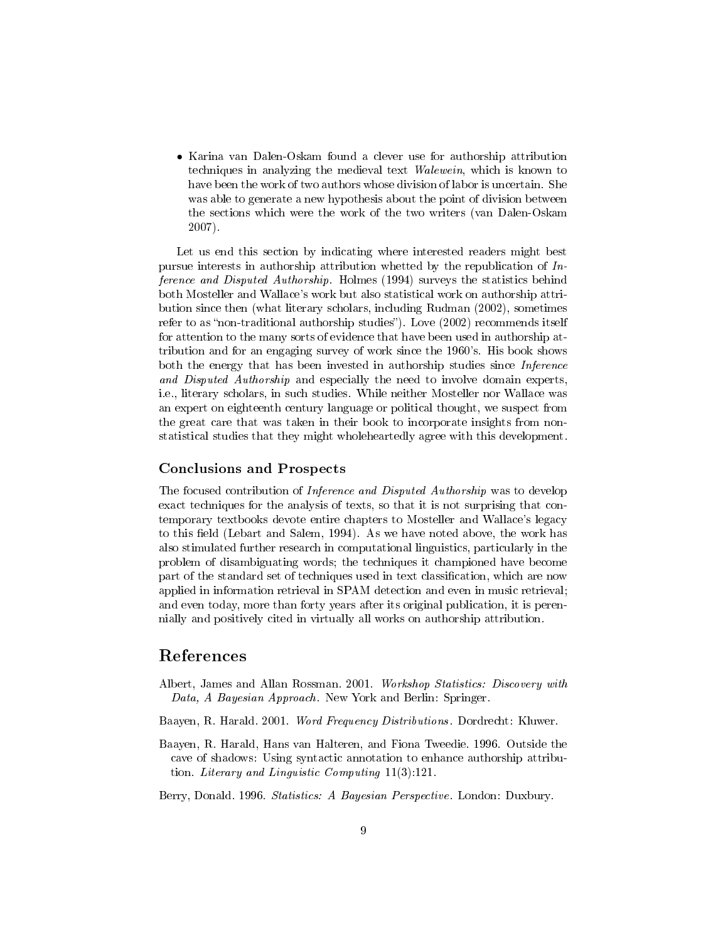• Karina van Dalen-Oskam found a clever use for authorship attribution techniques in analyzing the medieval text *Walewein*, which is known to have been the work of two authors whose division of labor is uncertain. She was able to generate a new hypothesis about the point of division between the sections which were the work of the two writers (van Dalen-Oskam 2007).

Let us end this section by indicating where interested readers might best pursue interests in authorship attribution whetted by the republication of Inference and Disputed Authorship. Holmes (1994) surveys the statistics behind both Mosteller and Wallace's work but also statistical work on authorship attribution since then (what literary scholars, including Rudman (2002), sometimes refer to as "non-traditional authorship studies"). Love  $(2002)$  recommends itself for attention to the many sorts of evidence that have been used in authorship attribution and for an engaging survey of work since the 1960's. His book shows both the energy that has been invested in authorship studies since *Inference* and Disputed Authorship and especially the need to involve domain experts, i.e., literary scholars, in such studies. While neither Mosteller nor Wallace was an expert on eighteenth century language or political thought, we suspect from the great care that was taken in their book to incorporate insights from nonstatistical studies that they might wholeheartedly agree with this development.

### Conclusions and Prospects

The focused contribution of Inference and Disputed Authorship was to develop exact techniques for the analysis of texts, so that it is not surprising that contemporary textbooks devote entire chapters to Mosteller and Wallace's legacy to this field (Lebart and Salem, 1994). As we have noted above, the work has also stimulated further research in computational linguistics, particularly in the problem of disambiguating words; the techniques it championed have become part of the standard set of techniques used in text classication, which are now applied in information retrieval in SPAM detection and even in music retrieval; and even today, more than forty years after its original publication, it is perennially and positively cited in virtually all works on authorship attribution.

# References

- Albert, James and Allan Rossman. 2001. Workshop Statistics: Discovery with Data, A Bayesian Approach. New York and Berlin: Springer.
- Baayen, R. Harald. 2001. Word Frequency Distributions. Dordrecht: Kluwer.
- Baayen, R. Harald, Hans van Halteren, and Fiona Tweedie. 1996. Outside the cave of shadows: Using syntactic annotation to enhance authorship attribution. Literary and Linguistic Computing 11(3):121.
- Berry, Donald. 1996. Statistics: A Bayesian Perspective. London: Duxbury.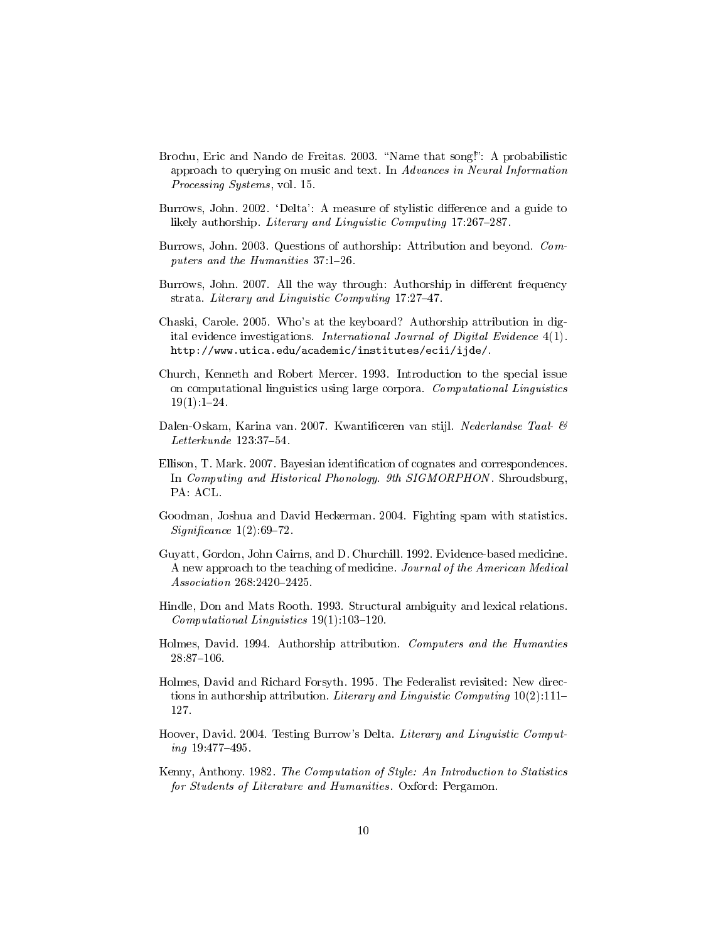- Brochu, Eric and Nando de Freitas. 2003. "Name that song!": A probabilistic approach to querying on music and text. In Advances in Neural Information Processing Systems, vol. 15.
- Burrows, John. 2002. 'Delta': A measure of stylistic difference and a guide to likely authorship. Literary and Linguistic Computing 17:267-287.
- Burrows, John. 2003. Questions of authorship: Attribution and beyond. Computers and the Humanities  $37:1-26$ .
- Burrows, John. 2007. All the way through: Authorship in different frequency strata. Literary and Linguistic Computing 17:27-47.
- Chaski, Carole. 2005. Who's at the keyboard? Authorship attribution in digital evidence investigations. International Journal of Digital Evidence 4(1). http://www.utica.edu/academic/institutes/ecii/ijde/.
- Church, Kenneth and Robert Mercer. 1993. Introduction to the special issue on computational linguistics using large corpora. Computational Linguistics  $19(1)$ : 1-24.
- Dalen-Oskam, Karina van. 2007. Kwantificeren van stijl. Nederlandse Taal- &  $Letterkunde$  123:37-54.
- Ellison, T. Mark. 2007. Bayesian identification of cognates and correspondences. In Computing and Historical Phonology. 9th SIGMORPHON. Shroudsburg, PA: ACL.
- Goodman, Joshua and David Heckerman. 2004. Fighting spam with statistics.  $Significance$  1(2):69-72.
- Guyatt, Gordon, John Cairns, and D. Churchill. 1992. Evidence-based medicine. A new approach to the teaching of medicine. Journal of the American Medical  $Association 268:2420 - 2425.$
- Hindle, Don and Mats Rooth. 1993. Structural ambiguity and lexical relations. Computational Linguistics  $19(1):103-120$ .
- Holmes, David. 1994. Authorship attribution. Computers and the Humanties 28:87106.
- Holmes, David and Richard Forsyth. 1995. The Federalist revisited: New directions in authorship attribution. Literary and Linguistic Computing  $10(2):111-$ 127.
- Hoover, David. 2004. Testing Burrow's Delta. Literary and Linguistic Comput $ing\ 19.477 - 495.$
- Kenny, Anthony. 1982. The Computation of Style: An Introduction to Statistics for Students of Literature and Humanities. Oxford: Pergamon.